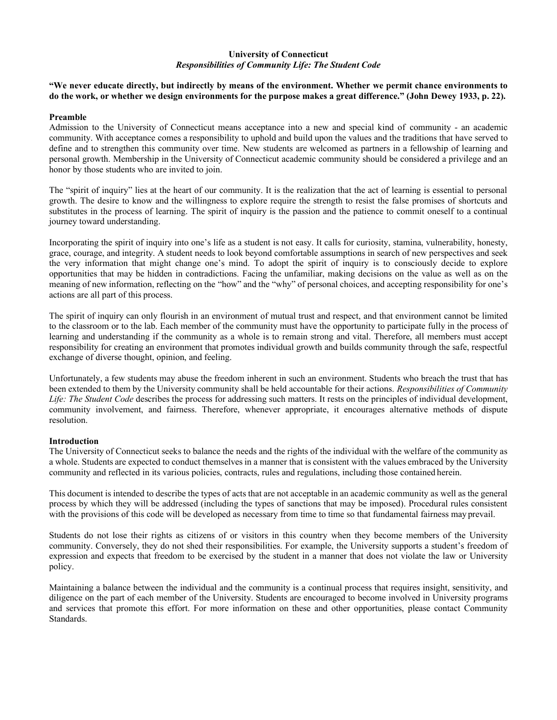# **University of Connecticut** *Responsibilities of Community Life: The Student Code*

**"We never educate directly, but indirectly by means of the environment. Whether we permit chance environments to do the work, or whether we design environments for the purpose makes a great difference." (John Dewey 1933, p. 22).**

### **Preamble**

Admission to the University of Connecticut means acceptance into a new and special kind of community - an academic community. With acceptance comes a responsibility to uphold and build upon the values and the traditions that have served to define and to strengthen this community over time. New students are welcomed as partners in a fellowship of learning and personal growth. Membership in the University of Connecticut academic community should be considered a privilege and an honor by those students who are invited to join.

The "spirit of inquiry" lies at the heart of our community. It is the realization that the act of learning is essential to personal growth. The desire to know and the willingness to explore require the strength to resist the false promises of shortcuts and substitutes in the process of learning. The spirit of inquiry is the passion and the patience to commit oneself to a continual journey toward understanding.

Incorporating the spirit of inquiry into one's life as a student is not easy. It calls for curiosity, stamina, vulnerability, honesty, grace, courage, and integrity. A student needs to look beyond comfortable assumptions in search of new perspectives and seek the very information that might change one's mind. To adopt the spirit of inquiry is to consciously decide to explore opportunities that may be hidden in contradictions. Facing the unfamiliar, making decisions on the value as well as on the meaning of new information, reflecting on the "how" and the "why" of personal choices, and accepting responsibility for one's actions are all part of this process.

The spirit of inquiry can only flourish in an environment of mutual trust and respect, and that environment cannot be limited to the classroom or to the lab. Each member of the community must have the opportunity to participate fully in the process of learning and understanding if the community as a whole is to remain strong and vital. Therefore, all members must accept responsibility for creating an environment that promotes individual growth and builds community through the safe, respectful exchange of diverse thought, opinion, and feeling.

Unfortunately, a few students may abuse the freedom inherent in such an environment. Students who breach the trust that has been extended to them by the University community shall be held accountable for their actions. *Responsibilities of Community Life: The Student Code* describes the process for addressing such matters. It rests on the principles of individual development, community involvement, and fairness. Therefore, whenever appropriate, it encourages alternative methods of dispute resolution.

# **Introduction**

The University of Connecticut seeks to balance the needs and the rights of the individual with the welfare of the community as a whole. Students are expected to conduct themselvesin a manner that is consistent with the values embraced by the University community and reflected in its various policies, contracts, rules and regulations, including those contained herein.

This document is intended to describe the types of acts that are not acceptable in an academic community as well as the general process by which they will be addressed (including the types of sanctions that may be imposed). Procedural rules consistent with the provisions of this code will be developed as necessary from time to time so that fundamental fairness may prevail.

Students do not lose their rights as citizens of or visitors in this country when they become members of the University community. Conversely, they do not shed their responsibilities. For example, the University supports a student's freedom of expression and expects that freedom to be exercised by the student in a manner that does not violate the law or University policy.

Maintaining a balance between the individual and the community is a continual process that requires insight, sensitivity, and diligence on the part of each member of the University. Students are encouraged to become involved in University programs and services that promote this effort. For more information on these and other opportunities, please contact Community Standards.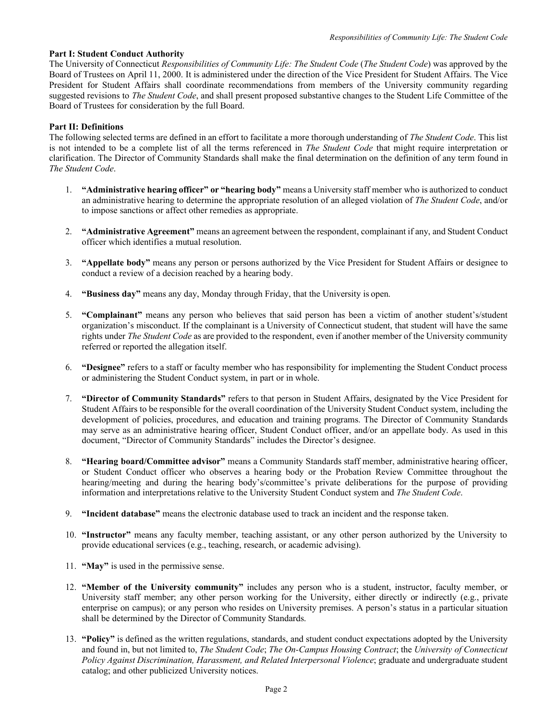### **Part I: Student Conduct Authority**

The University of Connecticut *Responsibilities of Community Life: The Student Code* (*The Student Code*) was approved by the Board of Trustees on April 11, 2000. It is administered under the direction of the Vice President for Student Affairs. The Vice President for Student Affairs shall coordinate recommendations from members of the University community regarding suggested revisions to *The Student Code*, and shall present proposed substantive changes to the Student Life Committee of the Board of Trustees for consideration by the full Board.

### **Part II: Definitions**

The following selected terms are defined in an effort to facilitate a more thorough understanding of *The Student Code*. This list is not intended to be a complete list of all the terms referenced in *The Student Code* that might require interpretation or clarification. The Director of Community Standards shall make the final determination on the definition of any term found in *The Student Code*.

- 1. **"Administrative hearing officer" or "hearing body"** means a University staff member who is authorized to conduct an administrative hearing to determine the appropriate resolution of an alleged violation of *The Student Code*, and/or to impose sanctions or affect other remedies as appropriate.
- 2. **"Administrative Agreement"** means an agreement between the respondent, complainant if any, and Student Conduct officer which identifies a mutual resolution.
- 3. **"Appellate body"** means any person or persons authorized by the Vice President for Student Affairs or designee to conduct a review of a decision reached by a hearing body.
- 4. **"Business day"** means any day, Monday through Friday, that the University is open.
- 5. **"Complainant"** means any person who believes that said person has been a victim of another student's/student organization's misconduct. If the complainant is a University of Connecticut student, that student will have the same rights under *The Student Code* as are provided to the respondent, even if another member of the University community referred or reported the allegation itself.
- 6. **"Designee"** refers to a staff or faculty member who has responsibility for implementing the Student Conduct process or administering the Student Conduct system, in part or in whole.
- 7. **"Director of Community Standards"** refers to that person in Student Affairs, designated by the Vice President for Student Affairs to be responsible for the overall coordination of the University Student Conduct system, including the development of policies, procedures, and education and training programs. The Director of Community Standards may serve as an administrative hearing officer, Student Conduct officer, and/or an appellate body. As used in this document, "Director of Community Standards" includes the Director's designee.
- 8. **"Hearing board/Committee advisor"** means a Community Standards staff member, administrative hearing officer, or Student Conduct officer who observes a hearing body or the Probation Review Committee throughout the hearing/meeting and during the hearing body's/committee's private deliberations for the purpose of providing information and interpretations relative to the University Student Conduct system and *The Student Code*.
- 9. **"Incident database"** means the electronic database used to track an incident and the response taken.
- 10. **"Instructor"** means any faculty member, teaching assistant, or any other person authorized by the University to provide educational services (e.g., teaching, research, or academic advising).
- 11. **"May"** is used in the permissive sense.
- 12. **"Member of the University community"** includes any person who is a student, instructor, faculty member, or University staff member; any other person working for the University, either directly or indirectly (e.g., private enterprise on campus); or any person who resides on University premises. A person's status in a particular situation shall be determined by the Director of Community Standards.
- 13. **"Policy"** is defined as the written regulations, standards, and student conduct expectations adopted by the University and found in, but not limited to, *The Student Code*; *The On-Campus Housing Contract*; the *University of Connecticut Policy Against Discrimination, Harassment, and Related Interpersonal Violence*; graduate and undergraduate student catalog; and other publicized University notices.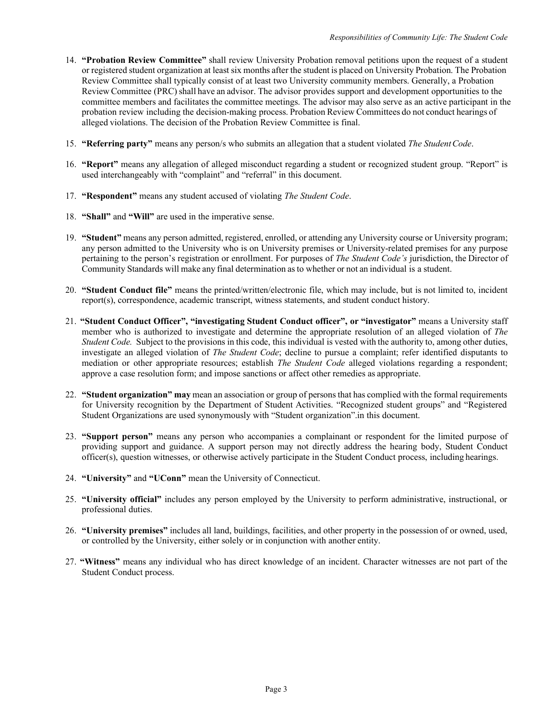- 14. **"Probation Review Committee"** shall review University Probation removal petitions upon the request of a student or registered student organization at least six months after the student is placed on University Probation. The Probation Review Committee shall typically consist of at least two University community members. Generally, a Probation Review Committee (PRC) shall have an advisor. The advisor provides support and development opportunities to the committee members and facilitates the committee meetings. The advisor may also serve as an active participant in the probation review including the decision-making process. Probation Review Committees do not conduct hearings of alleged violations. The decision of the Probation Review Committee is final.
- 15. **"Referring party"** means any person/s who submits an allegation that a student violated *The StudentCode*.
- 16. **"Report"** means any allegation of alleged misconduct regarding a student or recognized student group. "Report" is used interchangeably with "complaint" and "referral" in this document.
- 17. **"Respondent"** means any student accused of violating *The Student Code*.
- 18. **"Shall"** and **"Will"** are used in the imperative sense.
- 19. **"Student"** means any person admitted, registered, enrolled, or attending any University course or University program; any person admitted to the University who is on University premises or University-related premises for any purpose pertaining to the person's registration or enrollment. For purposes of *The Student Code's* jurisdiction, the Director of Community Standards will make any final determination asto whether or not an individual is a student.
- 20. **"Student Conduct file"** means the printed/written/electronic file, which may include, but is not limited to, incident report(s), correspondence, academic transcript, witness statements, and student conduct history.
- 21. **"Student Conduct Officer", "investigating Student Conduct officer", or "investigator"** means a University staff member who is authorized to investigate and determine the appropriate resolution of an alleged violation of *The Student Code.* Subject to the provisions in this code, this individual is vested with the authority to, among other duties, investigate an alleged violation of *The Student Code*; decline to pursue a complaint; refer identified disputants to mediation or other appropriate resources; establish *The Student Code* alleged violations regarding a respondent; approve a case resolution form; and impose sanctions or affect other remedies as appropriate.
- 22. **"Student organization" may** mean an association or group of persons that has complied with the formal requirements for University recognition by the Department of Student Activities. "Recognized student groups" and "Registered Student Organizations are used synonymously with "Student organization".in this document.
- 23. **"Support person"** means any person who accompanies a complainant or respondent for the limited purpose of providing support and guidance. A support person may not directly address the hearing body, Student Conduct officer(s), question witnesses, or otherwise actively participate in the Student Conduct process, including hearings.
- 24. **"University"** and **"UConn"** mean the University of Connecticut.
- 25. **"University official"** includes any person employed by the University to perform administrative, instructional, or professional duties.
- 26. **"University premises"** includes all land, buildings, facilities, and other property in the possession of or owned, used, or controlled by the University, either solely or in conjunction with another entity.
- 27. **"Witness"** means any individual who has direct knowledge of an incident. Character witnesses are not part of the Student Conduct process.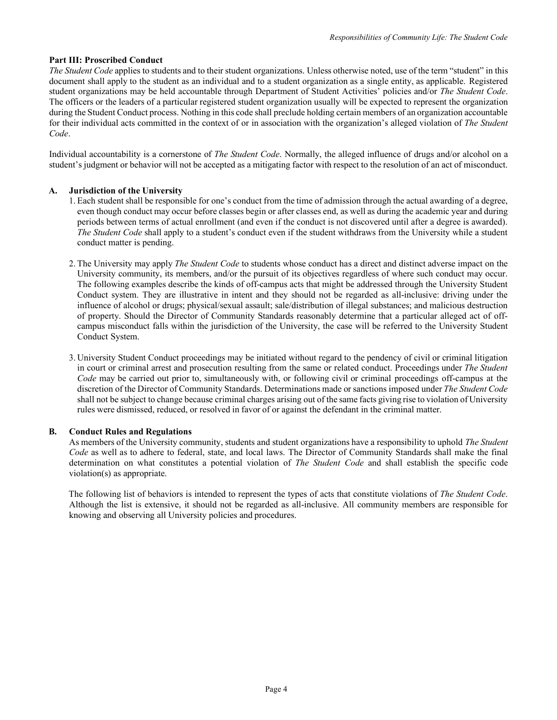# **Part III: Proscribed Conduct**

*The Student Code* applies to students and to their student organizations. Unless otherwise noted, use of the term "student" in this document shall apply to the student as an individual and to a student organization as a single entity, as applicable. Registered student organizations may be held accountable through Department of Student Activities' policies and/or *The Student Code*. The officers or the leaders of a particular registered student organization usually will be expected to represent the organization during the Student Conduct process. Nothing in this code shall preclude holding certain members of an organization accountable for their individual acts committed in the context of or in association with the organization's alleged violation of *The Student Code*.

Individual accountability is a cornerstone of *The Student Code*. Normally, the alleged influence of drugs and/or alcohol on a student's judgment or behavior will not be accepted as a mitigating factor with respect to the resolution of an act of misconduct.

# **A. Jurisdiction of the University**

- 1. Each student shall be responsible for one's conduct from the time of admission through the actual awarding of a degree, even though conduct may occur before classes begin or after classes end, as well as during the academic year and during periods between terms of actual enrollment (and even if the conduct is not discovered until after a degree is awarded). *The Student Code* shall apply to a student's conduct even if the student withdraws from the University while a student conduct matter is pending.
- 2. The University may apply *The Student Code* to students whose conduct has a direct and distinct adverse impact on the University community, its members, and/or the pursuit of its objectives regardless of where such conduct may occur. The following examples describe the kinds of off-campus acts that might be addressed through the University Student Conduct system. They are illustrative in intent and they should not be regarded as all-inclusive: driving under the influence of alcohol or drugs; physical/sexual assault; sale/distribution of illegal substances; and malicious destruction of property. Should the Director of Community Standards reasonably determine that a particular alleged act of offcampus misconduct falls within the jurisdiction of the University, the case will be referred to the University Student Conduct System.
- 3. University Student Conduct proceedings may be initiated without regard to the pendency of civil or criminal litigation in court or criminal arrest and prosecution resulting from the same or related conduct. Proceedings under *The Student Code* may be carried out prior to, simultaneously with, or following civil or criminal proceedings off-campus at the discretion of the Director of Community Standards. Determinations made or sanctions imposed under *The Student Code*  shall not be subject to change because criminal charges arising out of the same facts giving rise to violation of University rules were dismissed, reduced, or resolved in favor of or against the defendant in the criminal matter.

# **B. Conduct Rules and Regulations**

As members of the University community, students and student organizations have a responsibility to uphold *The Student Code* as well as to adhere to federal, state, and local laws. The Director of Community Standards shall make the final determination on what constitutes a potential violation of *The Student Code* and shall establish the specific code violation(s) as appropriate.

The following list of behaviors is intended to represent the types of acts that constitute violations of *The Student Code*. Although the list is extensive, it should not be regarded as all-inclusive. All community members are responsible for knowing and observing all University policies and procedures.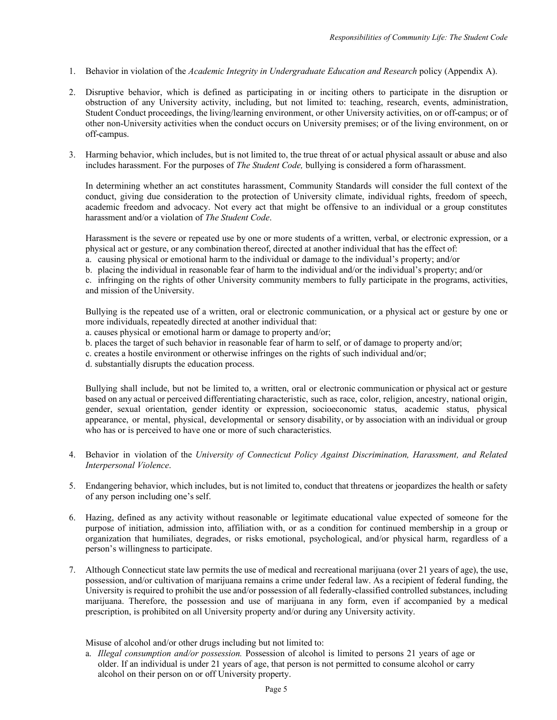- 1. Behavior in violation of the *Academic Integrity in Undergraduate Education and Research* policy (Appendix A).
- 2. Disruptive behavior, which is defined as participating in or inciting others to participate in the disruption or obstruction of any University activity, including, but not limited to: teaching, research, events, administration, Student Conduct proceedings, the living/learning environment, or other University activities, on or off-campus; or of other non-University activities when the conduct occurs on University premises; or of the living environment, on or off-campus.
- 3. Harming behavior, which includes, but is not limited to, the true threat of or actual physical assault or abuse and also includes harassment. For the purposes of *The Student Code,* bullying is considered a form of harassment.

In determining whether an act constitutes harassment, Community Standards will consider the full context of the conduct, giving due consideration to the protection of University climate, individual rights, freedom of speech, academic freedom and advocacy. Not every act that might be offensive to an individual or a group constitutes harassment and/or a violation of *The Student Code*.

Harassment is the severe or repeated use by one or more students of a written, verbal, or electronic expression, or a physical act or gesture, or any combination thereof, directed at another individual that has the effect of:

- a. causing physical or emotional harm to the individual or damage to the individual's property; and/or
- b. placing the individual in reasonable fear of harm to the individual and/or the individual's property; and/or

c. infringing on the rights of other University community members to fully participate in the programs, activities, and mission of theUniversity.

Bullying is the repeated use of a written, oral or electronic communication, or a physical act or gesture by one or more individuals, repeatedly directed at another individual that:

- a. causes physical or emotional harm or damage to property and/or;
- b. places the target of such behavior in reasonable fear of harm to self, or of damage to property and/or;
- c. creates a hostile environment or otherwise infringes on the rights of such individual and/or;

d. substantially disrupts the education process.

Bullying shall include, but not be limited to, a written, oral or electronic communication or physical act or gesture based on any actual or perceived differentiating characteristic, such as race, color, religion, ancestry, national origin, gender, sexual orientation, gender identity or expression, socioeconomic status, academic status, physical appearance, or mental, physical, developmental or sensory disability, or by association with an individual or group who has or is perceived to have one or more of such characteristics.

- 4. Behavior in violation of the *University of Connecticut Policy Against Discrimination, Harassment, and Related Interpersonal Violence*.
- 5. Endangering behavior, which includes, but is not limited to, conduct that threatens or jeopardizes the health or safety of any person including one's self.
- 6. Hazing, defined as any activity without reasonable or legitimate educational value expected of someone for the purpose of initiation, admission into, affiliation with, or as a condition for continued membership in a group or organization that humiliates, degrades, or risks emotional, psychological, and/or physical harm, regardless of a person's willingness to participate.
- 7. Although Connecticut state law permits the use of medical and recreational marijuana (over 21 years of age), the use, possession, and/or cultivation of marijuana remains a crime under federal law. As a recipient of federal funding, the University is required to prohibit the use and/or possession of all federally-classified controlled substances, including marijuana. Therefore, the possession and use of marijuana in any form, even if accompanied by a medical prescription, is prohibited on all University property and/or during any University activity.

Misuse of alcohol and/or other drugs including but not limited to:

a. *Illegal consumption and/or possession.* Possession of alcohol is limited to persons 21 years of age or older. If an individual is under 21 years of age, that person is not permitted to consume alcohol or carry alcohol on their person on or off University property.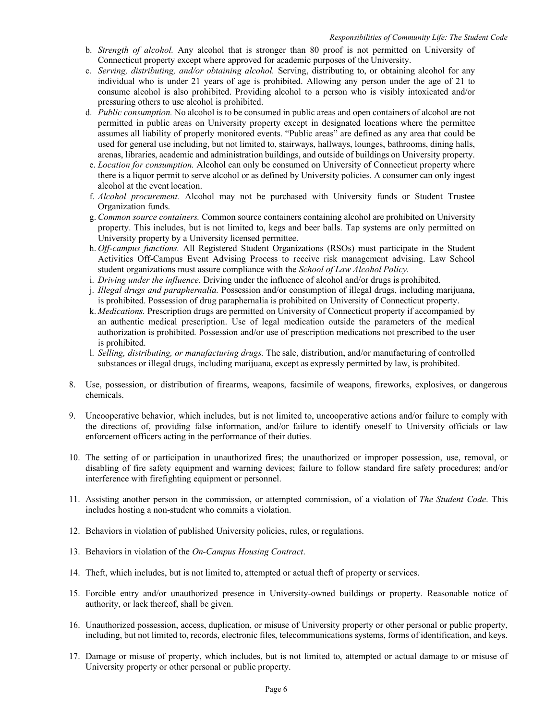- b. *Strength of alcohol.* Any alcohol that is stronger than 80 proof is not permitted on University of Connecticut property except where approved for academic purposes of the University.
- c. *Serving, distributing, and/or obtaining alcohol.* Serving, distributing to, or obtaining alcohol for any individual who is under 21 years of age is prohibited. Allowing any person under the age of 21 to consume alcohol is also prohibited. Providing alcohol to a person who is visibly intoxicated and/or pressuring others to use alcohol is prohibited.
- d. *Public consumption.* No alcohol is to be consumed in public areas and open containers of alcohol are not permitted in public areas on University property except in designated locations where the permittee assumes all liability of properly monitored events. "Public areas" are defined as any area that could be used for general use including, but not limited to, stairways, hallways, lounges, bathrooms, dining halls, arenas, libraries, academic and administration buildings, and outside of buildings on University property.
- e. *Location for consumption.* Alcohol can only be consumed on University of Connecticut property where there is a liquor permit to serve alcohol or as defined by University policies. A consumer can only ingest alcohol at the event location.
- f. *Alcohol procurement.* Alcohol may not be purchased with University funds or Student Trustee Organization funds.
- g. *Common source containers.* Common source containers containing alcohol are prohibited on University property. This includes, but is not limited to, kegs and beer balls. Tap systems are only permitted on University property by a University licensed permittee.
- h. *Off-campus functions.* All Registered Student Organizations (RSOs) must participate in the Student Activities Off-Campus Event Advising Process to receive risk management advising. Law School student organizations must assure compliance with the *School of Law Alcohol Policy*.
- i. *Driving under the influence.* Driving under the influence of alcohol and/or drugs is prohibited.
- j. *Illegal drugs and paraphernalia.* Possession and/or consumption of illegal drugs, including marijuana,
- is prohibited. Possession of drug paraphernalia is prohibited on University of Connecticut property. k. *Medications.* Prescription drugs are permitted on University of Connecticut property if accompanied by an authentic medical prescription. Use of legal medication outside the parameters of the medical authorization is prohibited. Possession and/or use of prescription medications not prescribed to the user is prohibited.
- l. *Selling, distributing, or manufacturing drugs.* The sale, distribution, and/or manufacturing of controlled substances or illegal drugs, including marijuana, except as expressly permitted by law, is prohibited.
- 8. Use, possession, or distribution of firearms, weapons, facsimile of weapons, fireworks, explosives, or dangerous chemicals.
- 9. Uncooperative behavior, which includes, but is not limited to, uncooperative actions and/or failure to comply with the directions of, providing false information, and/or failure to identify oneself to University officials or law enforcement officers acting in the performance of their duties.
- 10. The setting of or participation in unauthorized fires; the unauthorized or improper possession, use, removal, or disabling of fire safety equipment and warning devices; failure to follow standard fire safety procedures; and/or interference with firefighting equipment or personnel.
- 11. Assisting another person in the commission, or attempted commission, of a violation of *The Student Code*. This includes hosting a non-student who commits a violation.
- 12. Behaviors in violation of published University policies, rules, or regulations.
- 13. Behaviors in violation of the *On-Campus Housing Contract*.
- 14. Theft, which includes, but is not limited to, attempted or actual theft of property or services.
- 15. Forcible entry and/or unauthorized presence in University-owned buildings or property. Reasonable notice of authority, or lack thereof, shall be given.
- 16. Unauthorized possession, access, duplication, or misuse of University property or other personal or public property, including, but not limited to, records, electronic files, telecommunications systems, forms of identification, and keys.
- 17. Damage or misuse of property, which includes, but is not limited to, attempted or actual damage to or misuse of University property or other personal or public property.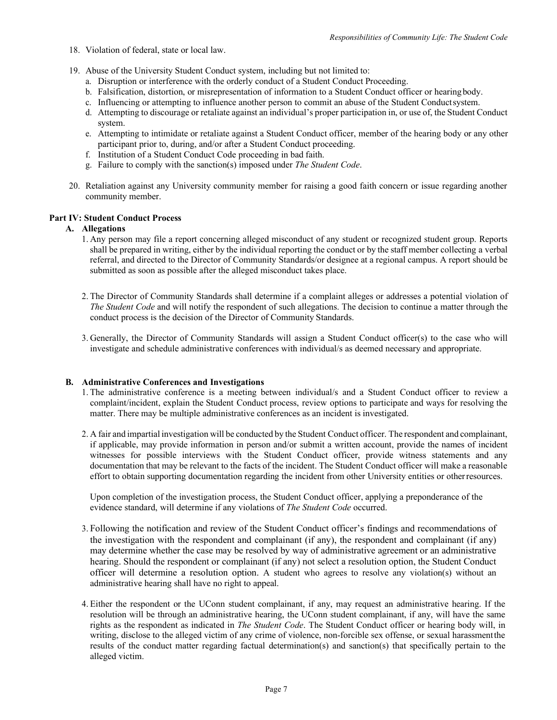- 18. Violation of federal, state or local law.
- 19. Abuse of the University Student Conduct system, including but not limited to:
	- a. Disruption or interference with the orderly conduct of a Student Conduct Proceeding.
	- b. Falsification, distortion, or misrepresentation of information to a Student Conduct officer or hearingbody.
	- c. Influencing or attempting to influence another person to commit an abuse of the Student Conductsystem.
	- d. Attempting to discourage or retaliate against an individual's proper participation in, or use of, the Student Conduct system.
	- e. Attempting to intimidate or retaliate against a Student Conduct officer, member of the hearing body or any other participant prior to, during, and/or after a Student Conduct proceeding.
	- f. Institution of a Student Conduct Code proceeding in bad faith.
	- g. Failure to comply with the sanction(s) imposed under *The Student Code*.
- 20. Retaliation against any University community member for raising a good faith concern or issue regarding another community member.

# **Part IV: Student Conduct Process**

# **A. Allegations**

- 1. Any person may file a report concerning alleged misconduct of any student or recognized student group. Reports shall be prepared in writing, either by the individual reporting the conduct or by the staff member collecting a verbal referral, and directed to the Director of Community Standards/or designee at a regional campus. A report should be submitted as soon as possible after the alleged misconduct takes place.
- 2. The Director of Community Standards shall determine if a complaint alleges or addresses a potential violation of *The Student Code* and will notify the respondent of such allegations. The decision to continue a matter through the conduct process is the decision of the Director of Community Standards.
- 3. Generally, the Director of Community Standards will assign a Student Conduct officer(s) to the case who will investigate and schedule administrative conferences with individual/s as deemed necessary and appropriate.

# **B. Administrative Conferences and Investigations**

- 1. The administrative conference is a meeting between individual/s and a Student Conduct officer to review a complaint/incident, explain the Student Conduct process, review options to participate and ways for resolving the matter. There may be multiple administrative conferences as an incident is investigated.
- 2. A fair and impartial investigation will be conducted by the Student Conduct officer. The respondent and complainant, if applicable, may provide information in person and/or submit a written account, provide the names of incident witnesses for possible interviews with the Student Conduct officer, provide witness statements and any documentation that may be relevant to the facts of the incident. The Student Conduct officer will make a reasonable effort to obtain supporting documentation regarding the incident from other University entities or otherresources.

Upon completion of the investigation process, the Student Conduct officer, applying a preponderance of the evidence standard, will determine if any violations of *The Student Code* occurred.

- 3. Following the notification and review of the Student Conduct officer's findings and recommendations of the investigation with the respondent and complainant (if any), the respondent and complainant (if any) may determine whether the case may be resolved by way of administrative agreement or an administrative hearing. Should the respondent or complainant (if any) not select a resolution option, the Student Conduct officer will determine a resolution option. A student who agrees to resolve any violation(s) without an administrative hearing shall have no right to appeal.
- 4. Either the respondent or the UConn student complainant, if any, may request an administrative hearing. If the resolution will be through an administrative hearing, the UConn student complainant, if any, will have the same rights as the respondent as indicated in *The Student Code*. The Student Conduct officer or hearing body will, in writing, disclose to the alleged victim of any crime of violence, non-forcible sex offense, or sexual harassmentthe results of the conduct matter regarding factual determination(s) and sanction(s) that specifically pertain to the alleged victim.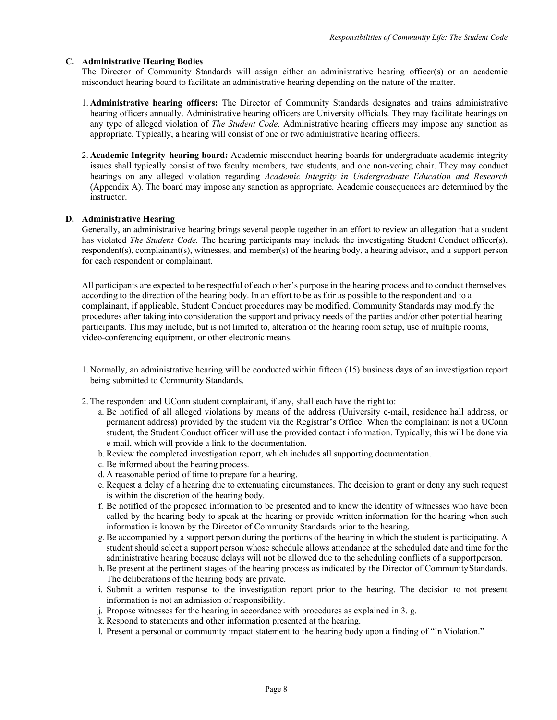### **C. Administrative Hearing Bodies**

The Director of Community Standards will assign either an administrative hearing officer(s) or an academic misconduct hearing board to facilitate an administrative hearing depending on the nature of the matter.

- 1. **Administrative hearing officers:** The Director of Community Standards designates and trains administrative hearing officers annually. Administrative hearing officers are University officials. They may facilitate hearings on any type of alleged violation of *The Student Code*. Administrative hearing officers may impose any sanction as appropriate. Typically, a hearing will consist of one or two administrative hearing officers.
- 2. **Academic Integrity hearing board:** Academic misconduct hearing boards for undergraduate academic integrity issues shall typically consist of two faculty members, two students, and one non-voting chair. They may conduct hearings on any alleged violation regarding *Academic Integrity in Undergraduate Education and Research*  (Appendix A). The board may impose any sanction as appropriate. Academic consequences are determined by the instructor.

### **D. Administrative Hearing**

Generally, an administrative hearing brings several people together in an effort to review an allegation that a student has violated *The Student Code.* The hearing participants may include the investigating Student Conduct officer(s), respondent(s), complainant(s), witnesses, and member(s) of the hearing body, a hearing advisor, and a support person for each respondent or complainant.

All participants are expected to be respectful of each other's purpose in the hearing process and to conduct themselves according to the direction of the hearing body. In an effort to be as fair as possible to the respondent and to a complainant, if applicable, Student Conduct procedures may be modified. Community Standards may modify the procedures after taking into consideration the support and privacy needs of the parties and/or other potential hearing participants. This may include, but is not limited to, alteration of the hearing room setup, use of multiple rooms, video-conferencing equipment, or other electronic means.

- 1. Normally, an administrative hearing will be conducted within fifteen (15) business days of an investigation report being submitted to Community Standards.
- 2. The respondent and UConn student complainant, if any, shall each have the right to:
	- a. Be notified of all alleged violations by means of the address (University e-mail, residence hall address, or permanent address) provided by the student via the Registrar's Office. When the complainant is not a UConn student, the Student Conduct officer will use the provided contact information. Typically, this will be done via e-mail, which will provide a link to the documentation.
	- b. Review the completed investigation report, which includes all supporting documentation.
	- c. Be informed about the hearing process.
	- d. A reasonable period of time to prepare for a hearing.
	- e. Request a delay of a hearing due to extenuating circumstances. The decision to grant or deny any such request is within the discretion of the hearing body.
	- f. Be notified of the proposed information to be presented and to know the identity of witnesses who have been called by the hearing body to speak at the hearing or provide written information for the hearing when such information is known by the Director of Community Standards prior to the hearing.
	- g. Be accompanied by a support person during the portions of the hearing in which the student is participating. A student should select a support person whose schedule allows attendance at the scheduled date and time for the administrative hearing because delays will not be allowed due to the scheduling conflicts of a supportperson.
	- h. Be present at the pertinent stages of the hearing process as indicated by the Director of CommunityStandards. The deliberations of the hearing body are private.
	- i. Submit a written response to the investigation report prior to the hearing. The decision to not present information is not an admission of responsibility.
	- j. Propose witnesses for the hearing in accordance with procedures as explained in 3. g.
	- k. Respond to statements and other information presented at the hearing.
	- l. Present a personal or community impact statement to the hearing body upon a finding of "In Violation."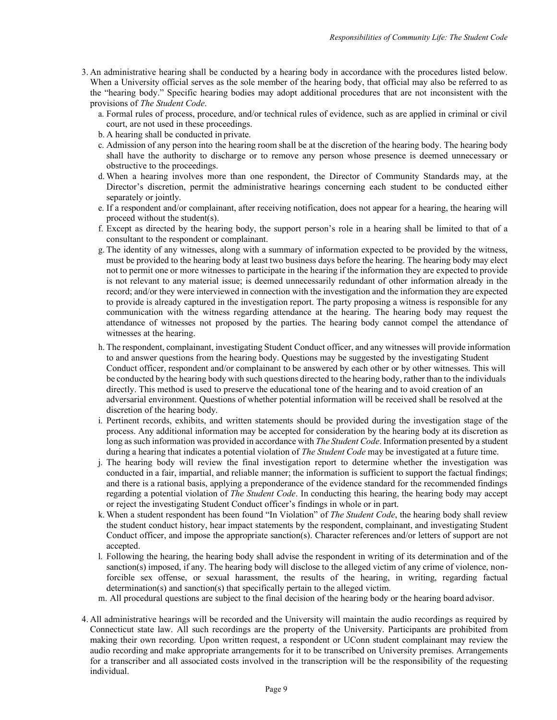- 3. An administrative hearing shall be conducted by a hearing body in accordance with the procedures listed below. When a University official serves as the sole member of the hearing body, that official may also be referred to as the "hearing body." Specific hearing bodies may adopt additional procedures that are not inconsistent with the provisions of *The Student Code*.
	- a. Formal rules of process, procedure, and/or technical rules of evidence, such as are applied in criminal or civil court, are not used in these proceedings.
	- b. A hearing shall be conducted in private.
	- c. Admission of any person into the hearing room shall be at the discretion of the hearing body. The hearing body shall have the authority to discharge or to remove any person whose presence is deemed unnecessary or obstructive to the proceedings.
	- d. When a hearing involves more than one respondent, the Director of Community Standards may, at the Director's discretion, permit the administrative hearings concerning each student to be conducted either separately or jointly.
	- e. If a respondent and/or complainant, after receiving notification, does not appear for a hearing, the hearing will proceed without the student(s).
	- f. Except as directed by the hearing body, the support person's role in a hearing shall be limited to that of a consultant to the respondent or complainant.
	- g. The identity of any witnesses, along with a summary of information expected to be provided by the witness, must be provided to the hearing body at least two business days before the hearing. The hearing body may elect not to permit one or more witnesses to participate in the hearing if the information they are expected to provide is not relevant to any material issue; is deemed unnecessarily redundant of other information already in the record; and/or they were interviewed in connection with the investigation and the information they are expected to provide is already captured in the investigation report. The party proposing a witness is responsible for any communication with the witness regarding attendance at the hearing. The hearing body may request the attendance of witnesses not proposed by the parties. The hearing body cannot compel the attendance of witnesses at the hearing.
	- h. The respondent, complainant, investigating Student Conduct officer, and any witnesses will provide information to and answer questions from the hearing body. Questions may be suggested by the investigating Student Conduct officer, respondent and/or complainant to be answered by each other or by other witnesses. This will be conducted by the hearing body with such questions directed to the hearing body, rather than to the individuals directly. This method is used to preserve the educational tone of the hearing and to avoid creation of an adversarial environment. Questions of whether potential information will be received shall be resolved at the discretion of the hearing body.
	- i. Pertinent records, exhibits, and written statements should be provided during the investigation stage of the process. Any additional information may be accepted for consideration by the hearing body at its discretion as long as such information was provided in accordance with *The Student Code*. Information presented by a student during a hearing that indicates a potential violation of *The Student Code* may be investigated at a future time.
	- j. The hearing body will review the final investigation report to determine whether the investigation was conducted in a fair, impartial, and reliable manner; the information is sufficient to support the factual findings; and there is a rational basis, applying a preponderance of the evidence standard for the recommended findings regarding a potential violation of *The Student Code*. In conducting this hearing, the hearing body may accept or reject the investigating Student Conduct officer's findings in whole or in part.
	- k. When a student respondent has been found "In Violation" of *The Student Code*, the hearing body shall review the student conduct history, hear impact statements by the respondent, complainant, and investigating Student Conduct officer, and impose the appropriate sanction(s). Character references and/or letters of support are not accepted.
	- l. Following the hearing, the hearing body shall advise the respondent in writing of its determination and of the sanction(s) imposed, if any. The hearing body will disclose to the alleged victim of any crime of violence, nonforcible sex offense, or sexual harassment, the results of the hearing, in writing, regarding factual determination(s) and sanction(s) that specifically pertain to the alleged victim.
	- m. All procedural questions are subject to the final decision of the hearing body or the hearing board advisor.
- 4. All administrative hearings will be recorded and the University will maintain the audio recordings as required by Connecticut state law. All such recordings are the property of the University. Participants are prohibited from making their own recording. Upon written request, a respondent or UConn student complainant may review the audio recording and make appropriate arrangements for it to be transcribed on University premises. Arrangements for a transcriber and all associated costs involved in the transcription will be the responsibility of the requesting individual.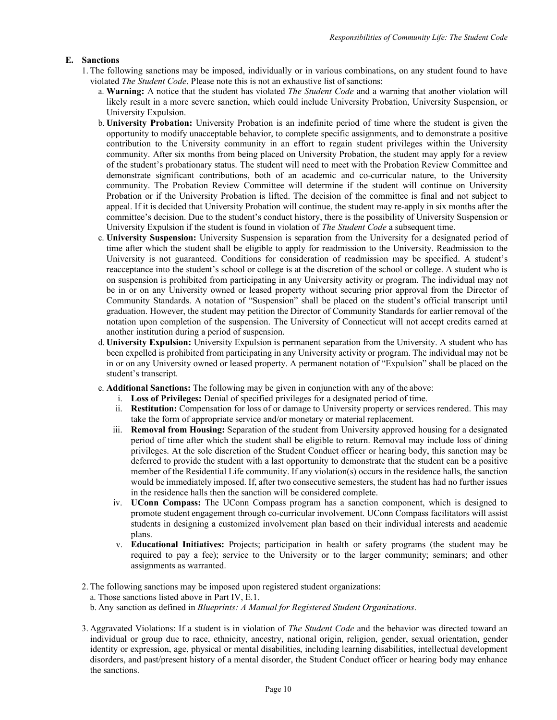# **E. Sanctions**

- 1. The following sanctions may be imposed, individually or in various combinations, on any student found to have violated *The Student Code*. Please note this is not an exhaustive list of sanctions:
	- a. **Warning:** A notice that the student has violated *The Student Code* and a warning that another violation will likely result in a more severe sanction, which could include University Probation, University Suspension, or University Expulsion.
	- b. **University Probation:** University Probation is an indefinite period of time where the student is given the opportunity to modify unacceptable behavior, to complete specific assignments, and to demonstrate a positive contribution to the University community in an effort to regain student privileges within the University community. After six months from being placed on University Probation, the student may apply for a review of the student's probationary status. The student will need to meet with the Probation Review Committee and demonstrate significant contributions, both of an academic and co-curricular nature, to the University community. The Probation Review Committee will determine if the student will continue on University Probation or if the University Probation is lifted. The decision of the committee is final and not subject to appeal. If it is decided that University Probation will continue, the student may re-apply in six months after the committee's decision. Due to the student's conduct history, there is the possibility of University Suspension or University Expulsion if the student is found in violation of *The Student Code* a subsequent time.
	- c. **University Suspension:** University Suspension is separation from the University for a designated period of time after which the student shall be eligible to apply for readmission to the University. Readmission to the University is not guaranteed. Conditions for consideration of readmission may be specified. A student's reacceptance into the student's school or college is at the discretion of the school or college. A student who is on suspension is prohibited from participating in any University activity or program. The individual may not be in or on any University owned or leased property without securing prior approval from the Director of Community Standards. A notation of "Suspension" shall be placed on the student's official transcript until graduation. However, the student may petition the Director of Community Standards for earlier removal of the notation upon completion of the suspension. The University of Connecticut will not accept credits earned at another institution during a period of suspension.
	- d. **University Expulsion:** University Expulsion is permanent separation from the University. A student who has been expelled is prohibited from participating in any University activity or program. The individual may not be in or on any University owned or leased property. A permanent notation of "Expulsion" shall be placed on the student's transcript.
	- e. **Additional Sanctions:** The following may be given in conjunction with any of the above:
		- i. **Loss of Privileges:** Denial of specified privileges for a designated period of time.
		- ii. **Restitution:** Compensation for loss of or damage to University property or services rendered. This may take the form of appropriate service and/or monetary or material replacement.
		- iii. **Removal from Housing:** Separation of the student from University approved housing for a designated period of time after which the student shall be eligible to return. Removal may include loss of dining privileges. At the sole discretion of the Student Conduct officer or hearing body, this sanction may be deferred to provide the student with a last opportunity to demonstrate that the student can be a positive member of the Residential Life community. If any violation(s) occurs in the residence halls, the sanction would be immediately imposed. If, after two consecutive semesters, the student has had no further issues in the residence halls then the sanction will be considered complete.
		- iv. **UConn Compass:** The UConn Compass program has a sanction component, which is designed to promote student engagement through co-curricular involvement. UConn Compass facilitators will assist students in designing a customized involvement plan based on their individual interests and academic plans.
		- v. **Educational Initiatives:** Projects; participation in health or safety programs (the student may be required to pay a fee); service to the University or to the larger community; seminars; and other assignments as warranted.
- 2. The following sanctions may be imposed upon registered student organizations:
	- a. Those sanctions listed above in Part IV, E.1.
	- b. Any sanction as defined in *Blueprints: A Manual for Registered Student Organizations*.
- 3. Aggravated Violations: If a student is in violation of *The Student Code* and the behavior was directed toward an individual or group due to race, ethnicity, ancestry, national origin, religion, gender, sexual orientation, gender identity or expression, age, physical or mental disabilities, including learning disabilities, intellectual development disorders, and past/present history of a mental disorder, the Student Conduct officer or hearing body may enhance the sanctions.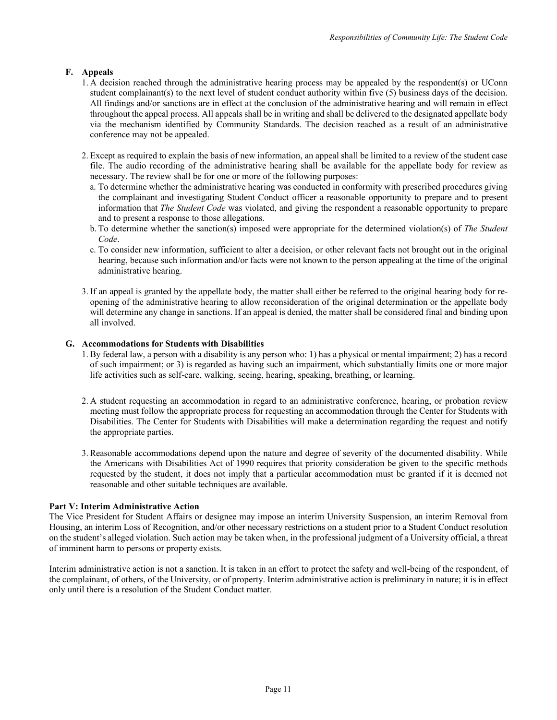# **F. Appeals**

- 1. A decision reached through the administrative hearing process may be appealed by the respondent(s) or UConn student complainant(s) to the next level of student conduct authority within five (5) business days of the decision. All findings and/or sanctions are in effect at the conclusion of the administrative hearing and will remain in effect throughout the appeal process. All appeals shall be in writing and shall be delivered to the designated appellate body via the mechanism identified by Community Standards. The decision reached as a result of an administrative conference may not be appealed.
- 2. Except as required to explain the basis of new information, an appeal shall be limited to a review of the student case file. The audio recording of the administrative hearing shall be available for the appellate body for review as necessary. The review shall be for one or more of the following purposes:
	- a. To determine whether the administrative hearing was conducted in conformity with prescribed procedures giving the complainant and investigating Student Conduct officer a reasonable opportunity to prepare and to present information that *The Student Code* was violated, and giving the respondent a reasonable opportunity to prepare and to present a response to those allegations.
	- b. To determine whether the sanction(s) imposed were appropriate for the determined violation(s) of *The Student Code*.
	- c. To consider new information, sufficient to alter a decision, or other relevant facts not brought out in the original hearing, because such information and/or facts were not known to the person appealing at the time of the original administrative hearing.
- 3. If an appeal is granted by the appellate body, the matter shall either be referred to the original hearing body for reopening of the administrative hearing to allow reconsideration of the original determination or the appellate body will determine any change in sanctions. If an appeal is denied, the matter shall be considered final and binding upon all involved.

# **G. Accommodations for Students with Disabilities**

- 1. By federal law, a person with a disability is any person who: 1) has a physical or mental impairment; 2) has a record of such impairment; or 3) is regarded as having such an impairment, which substantially limits one or more major life activities such as self-care, walking, seeing, hearing, speaking, breathing, or learning.
- 2. A student requesting an accommodation in regard to an administrative conference, hearing, or probation review meeting must follow the appropriate process for requesting an accommodation through the Center for Students with Disabilities. The Center for Students with Disabilities will make a determination regarding the request and notify the appropriate parties.
- 3. Reasonable accommodations depend upon the nature and degree of severity of the documented disability. While the Americans with Disabilities Act of 1990 requires that priority consideration be given to the specific methods requested by the student, it does not imply that a particular accommodation must be granted if it is deemed not reasonable and other suitable techniques are available.

# **Part V: Interim Administrative Action**

The Vice President for Student Affairs or designee may impose an interim University Suspension, an interim Removal from Housing, an interim Loss of Recognition, and/or other necessary restrictions on a student prior to a Student Conduct resolution on the student's alleged violation. Such action may be taken when, in the professional judgment of a University official, a threat of imminent harm to persons or property exists.

Interim administrative action is not a sanction. It is taken in an effort to protect the safety and well-being of the respondent, of the complainant, of others, of the University, or of property. Interim administrative action is preliminary in nature; it is in effect only until there is a resolution of the Student Conduct matter.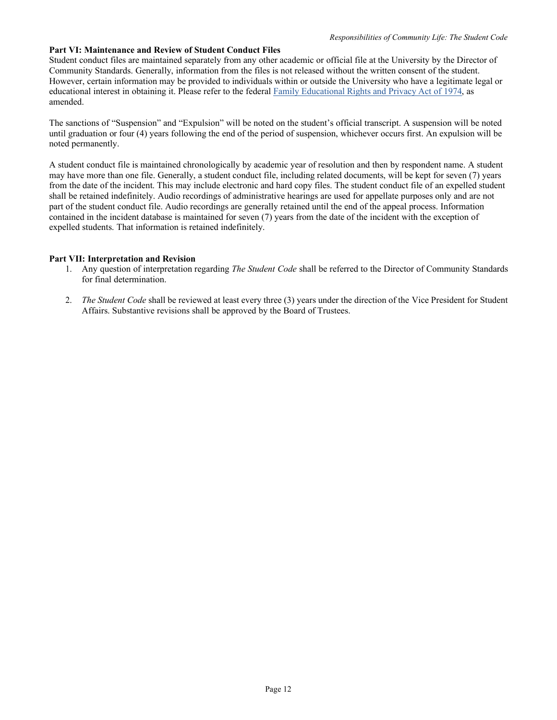# **Part VI: Maintenance and Review of Student Conduct Files**

Student conduct files are maintained separately from any other academic or official file at the University by the Director of Community Standards. Generally, information from the files is not released without the written consent of the student. However, certain information may be provided to individuals within or outside the University who have a legitimate legal or educational interest in obtaining it. Please refer to the federal [Family Educational Rights and Privacy Act of 1974, a](http://www.ed.gov/policy/gen/guid/fpco/ferpa/index.html)s amended.

The sanctions of "Suspension" and "Expulsion" will be noted on the student's official transcript. A suspension will be noted until graduation or four (4) years following the end of the period of suspension, whichever occurs first. An expulsion will be noted permanently.

A student conduct file is maintained chronologically by academic year of resolution and then by respondent name. A student may have more than one file. Generally, a student conduct file, including related documents, will be kept for seven (7) years from the date of the incident. This may include electronic and hard copy files. The student conduct file of an expelled student shall be retained indefinitely. Audio recordings of administrative hearings are used for appellate purposes only and are not part of the student conduct file. Audio recordings are generally retained until the end of the appeal process. Information contained in the incident database is maintained for seven (7) years from the date of the incident with the exception of expelled students. That information is retained indefinitely.

### **Part VII: Interpretation and Revision**

- 1. Any question of interpretation regarding *The Student Code* shall be referred to the Director of Community Standards for final determination.
- 2. *The Student Code* shall be reviewed at least every three (3) years under the direction of the Vice President for Student Affairs. Substantive revisions shall be approved by the Board of Trustees.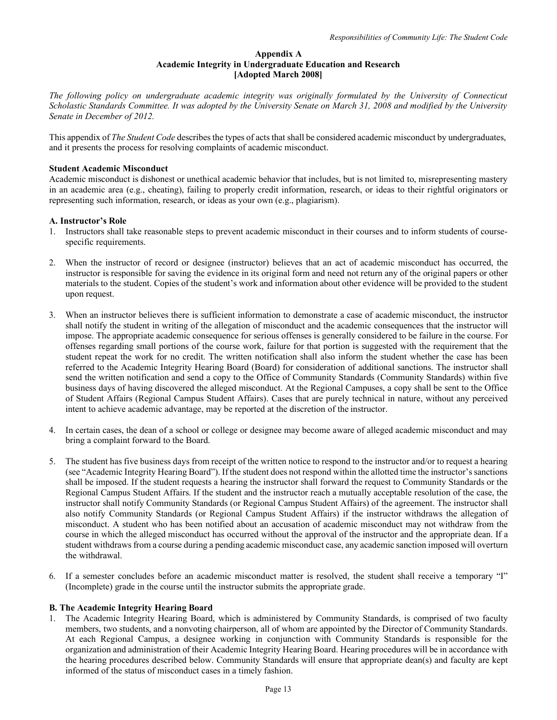### **Appendix A Academic Integrity in Undergraduate Education and Research [Adopted March 2008]**

*The following policy on undergraduate academic integrity was originally formulated by the University of Connecticut Scholastic Standards Committee. It was adopted by the University Senate on March 31, 2008 and modified by the University Senate in December of 2012.*

This appendix of *The Student Code* describesthe types of actsthat shall be considered academic misconduct by undergraduates, and it presents the process for resolving complaints of academic misconduct.

### **Student Academic Misconduct**

Academic misconduct is dishonest or unethical academic behavior that includes, but is not limited to, misrepresenting mastery in an academic area (e.g., cheating), failing to properly credit information, research, or ideas to their rightful originators or representing such information, research, or ideas as your own (e.g., plagiarism).

### **A. Instructor's Role**

- 1. Instructors shall take reasonable steps to prevent academic misconduct in their courses and to inform students of coursespecific requirements.
- 2. When the instructor of record or designee (instructor) believes that an act of academic misconduct has occurred, the instructor is responsible for saving the evidence in its original form and need not return any of the original papers or other materials to the student. Copies of the student's work and information about other evidence will be provided to the student upon request.
- 3. When an instructor believes there is sufficient information to demonstrate a case of academic misconduct, the instructor shall notify the student in writing of the allegation of misconduct and the academic consequences that the instructor will impose. The appropriate academic consequence for serious offenses is generally considered to be failure in the course. For offenses regarding small portions of the course work, failure for that portion is suggested with the requirement that the student repeat the work for no credit. The written notification shall also inform the student whether the case has been referred to the Academic Integrity Hearing Board (Board) for consideration of additional sanctions. The instructor shall send the written notification and send a copy to the Office of Community Standards (Community Standards) within five business days of having discovered the alleged misconduct. At the Regional Campuses, a copy shall be sent to the Office of Student Affairs (Regional Campus Student Affairs). Cases that are purely technical in nature, without any perceived intent to achieve academic advantage, may be reported at the discretion of the instructor.
- 4. In certain cases, the dean of a school or college or designee may become aware of alleged academic misconduct and may bring a complaint forward to the Board.
- 5. The student has five business days from receipt of the written notice to respond to the instructor and/or to request a hearing (see "Academic Integrity Hearing Board"). If the student does not respond within the allotted time the instructor'ssanctions shall be imposed. If the student requests a hearing the instructor shall forward the request to Community Standards or the Regional Campus Student Affairs. If the student and the instructor reach a mutually acceptable resolution of the case, the instructor shall notify Community Standards (or Regional Campus Student Affairs) of the agreement. The instructor shall also notify Community Standards (or Regional Campus Student Affairs) if the instructor withdraws the allegation of misconduct. A student who has been notified about an accusation of academic misconduct may not withdraw from the course in which the alleged misconduct has occurred without the approval of the instructor and the appropriate dean. If a student withdrawsfrom a course during a pending academic misconduct case, any academic sanction imposed will overturn the withdrawal.
- 6. If a semester concludes before an academic misconduct matter is resolved, the student shall receive a temporary "I" (Incomplete) grade in the course until the instructor submits the appropriate grade.

### **B. The Academic Integrity Hearing Board**

1. The Academic Integrity Hearing Board, which is administered by Community Standards, is comprised of two faculty members, two students, and a nonvoting chairperson, all of whom are appointed by the Director of Community Standards. At each Regional Campus, a designee working in conjunction with Community Standards is responsible for the organization and administration of their Academic Integrity Hearing Board. Hearing procedures will be in accordance with the hearing procedures described below. Community Standards will ensure that appropriate dean(s) and faculty are kept informed of the status of misconduct cases in a timely fashion.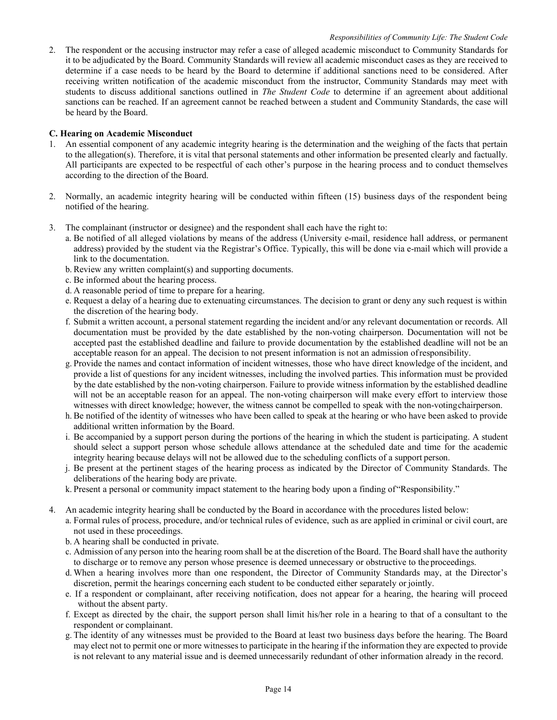2. The respondent or the accusing instructor may refer a case of alleged academic misconduct to Community Standards for it to be adjudicated by the Board. Community Standards will review all academic misconduct cases as they are received to determine if a case needs to be heard by the Board to determine if additional sanctions need to be considered. After receiving written notification of the academic misconduct from the instructor, Community Standards may meet with students to discuss additional sanctions outlined in *The Student Code* to determine if an agreement about additional sanctions can be reached. If an agreement cannot be reached between a student and Community Standards, the case will be heard by the Board.

# **C. Hearing on Academic Misconduct**

- 1. An essential component of any academic integrity hearing is the determination and the weighing of the facts that pertain to the allegation(s). Therefore, it is vital that personal statements and other information be presented clearly and factually. All participants are expected to be respectful of each other's purpose in the hearing process and to conduct themselves according to the direction of the Board.
- 2. Normally, an academic integrity hearing will be conducted within fifteen (15) business days of the respondent being notified of the hearing.
- 3. The complainant (instructor or designee) and the respondent shall each have the right to:
	- a. Be notified of all alleged violations by means of the address (University e-mail, residence hall address, or permanent address) provided by the student via the Registrar's Office. Typically, this will be done via e-mail which will provide a link to the documentation.
	- b. Review any written complaint(s) and supporting documents.
	- c. Be informed about the hearing process.
	- d. A reasonable period of time to prepare for a hearing.
	- e. Request a delay of a hearing due to extenuating circumstances. The decision to grant or deny any such request is within the discretion of the hearing body.
	- f. Submit a written account, a personal statement regarding the incident and/or any relevant documentation or records. All documentation must be provided by the date established by the non-voting chairperson. Documentation will not be accepted past the established deadline and failure to provide documentation by the established deadline will not be an acceptable reason for an appeal. The decision to not present information is not an admission ofresponsibility.
	- g. Provide the names and contact information of incident witnesses, those who have direct knowledge of the incident, and provide a list of questions for any incident witnesses, including the involved parties. This information must be provided by the date established by the non-voting chairperson. Failure to provide witness information by the established deadline will not be an acceptable reason for an appeal. The non-voting chairperson will make every effort to interview those witnesses with direct knowledge; however, the witness cannot be compelled to speak with the non-voting chairperson.
	- h. Be notified of the identity of witnesses who have been called to speak at the hearing or who have been asked to provide additional written information by the Board.
	- i. Be accompanied by a support person during the portions of the hearing in which the student is participating. A student should select a support person whose schedule allows attendance at the scheduled date and time for the academic integrity hearing because delays will not be allowed due to the scheduling conflicts of a support person.
	- j. Be present at the pertinent stages of the hearing process as indicated by the Director of Community Standards. The deliberations of the hearing body are private.
	- k. Present a personal or community impact statement to the hearing body upon a finding of"Responsibility."
- 4. An academic integrity hearing shall be conducted by the Board in accordance with the procedures listed below:
	- a. Formal rules of process, procedure, and/or technical rules of evidence, such as are applied in criminal or civil court, are not used in these proceedings.
	- b. A hearing shall be conducted in private.
	- c. Admission of any person into the hearing room shall be at the discretion of the Board. The Board shall have the authority to discharge or to remove any person whose presence is deemed unnecessary or obstructive to the proceedings.
	- d. When a hearing involves more than one respondent, the Director of Community Standards may, at the Director's discretion, permit the hearings concerning each student to be conducted either separately or jointly.
	- e. If a respondent or complainant, after receiving notification, does not appear for a hearing, the hearing will proceed without the absent party.
	- f. Except as directed by the chair, the support person shall limit his/her role in a hearing to that of a consultant to the respondent or complainant.
	- g. The identity of any witnesses must be provided to the Board at least two business days before the hearing. The Board may elect not to permit one or more witnessesto participate in the hearing if the information they are expected to provide is not relevant to any material issue and is deemed unnecessarily redundant of other information already in the record.